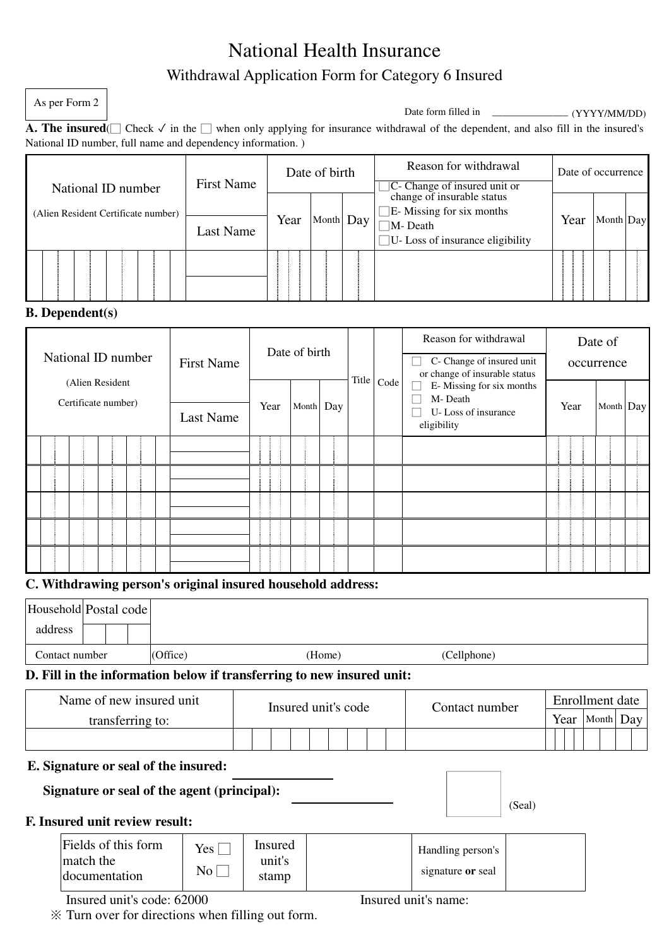# National Health Insurance Withdrawal Application Form for Category 6 Insured

As per Form 2

| Date form filled in | (YYYY/MM/DD) |
|---------------------|--------------|
|                     |              |

**A. The insured**( $□$  Check  $\checkmark$  in the  $□$  when only applying for insurance withdrawal of the dependent, and also fill in the insured's National ID number, full name and dependency information. )

| National ID number |                                     |  | <b>First Name</b> | Date of birth |      | Reason for withdrawal<br>$\Box$ C- Change of insured unit or change of insurable status | Date of occurrence              |      |                                        |  |  |  |
|--------------------|-------------------------------------|--|-------------------|---------------|------|-----------------------------------------------------------------------------------------|---------------------------------|------|----------------------------------------|--|--|--|
|                    | (Alien Resident Certificate number) |  |                   |               |      |                                                                                         | $\Box$ E-Missing for six months |      |                                        |  |  |  |
|                    |                                     |  |                   | Last Name     | Year | Month Day                                                                               | M-Death                         | Year | Month Day                              |  |  |  |
|                    |                                     |  |                   |               |      |                                                                                         |                                 |      | $\Box$ U-Loss of insurance eligibility |  |  |  |
|                    |                                     |  |                   |               |      |                                                                                         |                                 |      |                                        |  |  |  |

### **B. Dependent(s)**

| National ID number                     | <b>First Name</b> | Date of birth |           |  |       | Reason for withdrawal<br>C- Change of insured unit<br>or change of insurable status |                                                                           | Date of<br>occurrence |           |  |
|----------------------------------------|-------------------|---------------|-----------|--|-------|-------------------------------------------------------------------------------------|---------------------------------------------------------------------------|-----------------------|-----------|--|
| (Alien Resident<br>Certificate number) | <b>Last Name</b>  | Year          | Month Day |  | Title | Code                                                                                | E-Missing for six months<br>M-Death<br>U-Loss of insurance<br>eligibility | Year                  | Month Day |  |
|                                        |                   |               |           |  |       |                                                                                     |                                                                           |                       |           |  |
|                                        |                   |               |           |  |       |                                                                                     |                                                                           |                       |           |  |
|                                        |                   |               |           |  |       |                                                                                     |                                                                           |                       |           |  |
|                                        |                   |               |           |  |       |                                                                                     |                                                                           |                       |           |  |
|                                        |                   |               |           |  |       |                                                                                     |                                                                           |                       |           |  |

## **C. Withdrawing person's original insured household address:**

|                  | Household Postal code                             |                                             |                            |                                                                       |                                        |        |                 |  |  |
|------------------|---------------------------------------------------|---------------------------------------------|----------------------------|-----------------------------------------------------------------------|----------------------------------------|--------|-----------------|--|--|
| address          |                                                   |                                             |                            |                                                                       |                                        |        |                 |  |  |
| Contact number   |                                                   | (Office)                                    |                            | (Home)                                                                | (Cellphone)                            |        |                 |  |  |
|                  |                                                   |                                             |                            | D. Fill in the information below if transferring to new insured unit: |                                        |        |                 |  |  |
|                  | Name of new insured unit                          |                                             | Insured unit's code        | Contact number                                                        |                                        |        | Enrollment date |  |  |
| transferring to: |                                                   |                                             |                            |                                                                       |                                        |        | Year Month Day  |  |  |
|                  |                                                   |                                             |                            |                                                                       |                                        |        |                 |  |  |
|                  |                                                   | E. Signature or seal of the insured:        |                            |                                                                       |                                        |        |                 |  |  |
|                  |                                                   | Signature or seal of the agent (principal): |                            |                                                                       |                                        |        |                 |  |  |
|                  | F. Insured unit review result:                    |                                             |                            |                                                                       |                                        | (Seal) |                 |  |  |
|                  | Fields of this form<br>match the<br>documentation | Yes <sub>1</sub><br>$\rm No$                | Insured<br>unit's<br>stamp |                                                                       | Handling person's<br>signature or seal |        |                 |  |  |

Insured unit's code: 62000 Insured unit's name:

※ Turn over for directions when filling out form.